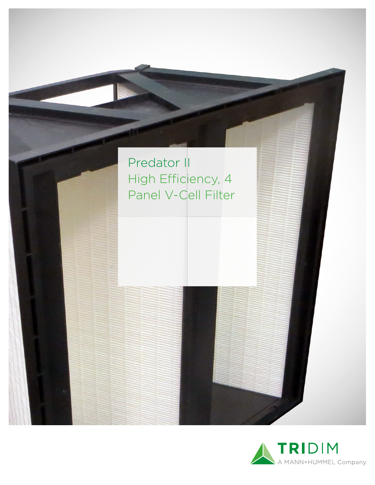

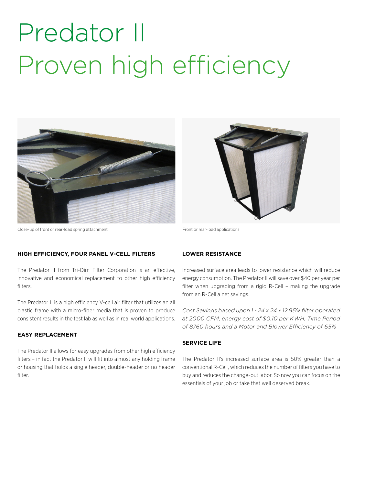# Predator II Proven high efficiency





Close-up of front or rear-load spring attachment Front or rear-load applications

### **HIGH EFFICIENCY, FOUR PANEL V-CELL FILTERS**

The Predator II from Tri-Dim Filter Corporation is an effective, innovative and economical replacement to other high efficiency filters.

The Predator II is a high efficiency V-cell air filter that utilizes an all plastic frame with a micro-fiber media that is proven to produce consistent results in the test lab as well as in real world applications.

#### **EASY REPLACEMENT**

The Predator II allows for easy upgrades from other high efficiency filters – in fact the Predator II will fit into almost any holding frame or housing that holds a single header, double-header or no header filter.

#### **LOWER RESISTANCE**

Increased surface area leads to lower resistance which will reduce energy consumption. The Predator II will save over \$40 per year per filter when upgrading from a rigid R-Cell – making the upgrade from an R-Cell a net savings.

*Cost Savings based upon 1 - 24 x 24 x 12 95% filter operated at 2000 CFM, energy cost of \$0.10 per KWH, Time Period of 8760 hours and a Motor and Blower Efficiency of 65%*

#### **SERVICE LIFE**

The Predator II's increased surface area is 50% greater than a conventional R-Cell, which reduces the number of filters you have to buy and reduces the change-out labor. So now you can focus on the essentials of your job or take that well deserved break.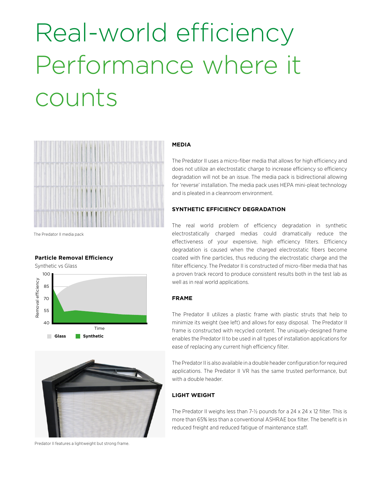# Real-world efficiency Performance where it counts



The Predator II media pack

#### **Particle Removal Efficiency**

Synthetic vs Glass100 Removal efficiency Removal efficiency 85 70 55  $40<sup>1</sup>$ Time **Glass Synthetic**



Predator II features a lightweight but strong frame.

#### **MEDIA**

The Predator II uses a micro-fiber media that allows for high efficiency and does not utilize an electrostatic charge to increase efficiency so efficiency degradation will not be an issue. The media pack is bidirectional allowing for 'reverse' installation. The media pack uses HEPA mini-pleat technology and is pleated in a cleanroom environment.

#### **SYNTHETIC EFFICIENCY DEGRADATION**

The real world problem of efficiency degradation in synthetic electrostatically charged medias could dramatically reduce the effectiveness of your expensive, high efficiency filters. Efficiency degradation is caused when the charged electrostatic fibers become coated with fine particles, thus reducing the electrostatic charge and the filter efficiency. The Predator II is constructed of micro-fiber media that has a proven track record to produce consistent results both in the test lab as well as in real world applications.

#### **FRAME**

The Predator II utilizes a plastic frame with plastic struts that help to minimize its weight (see left) and allows for easy disposal. The Predator II frame is constructed with recycled content. The uniquely-designed frame enables the Predator II to be used in all types of installation applications for ease of replacing any current high efficiency filter.

The Predator II is also available in a double header configuration for required applications. The Predator II VR has the same trusted performance, but with a double header.

### **LIGHT WEIGHT**

The Predator II weighs less than 7-½ pounds for a 24 x 24 x 12 filter. This is more than 65% less than a conventional ASHRAE box filter. The benefit is in reduced freight and reduced fatigue of maintenance staff.